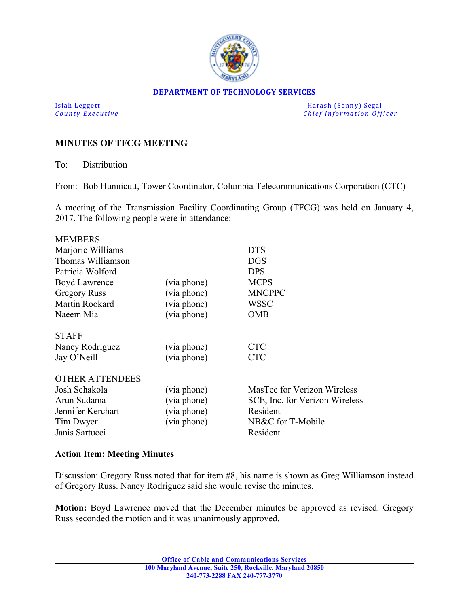

#### **DEPARTMENT OF TECHNOLOGY SERVICES**

Isiah Leggett Harash (Sonny) Segal *<u>Chief Information Officer</u>* 

### **MINUTES OF TFCG MEETING**

To: Distribution

From: Bob Hunnicutt, Tower Coordinator, Columbia Telecommunications Corporation (CTC)

A meeting of the Transmission Facility Coordinating Group (TFCG) was held on January 4, 2017. The following people were in attendance:

| <b>MEMBERS</b>         |             |                                |
|------------------------|-------------|--------------------------------|
| Marjorie Williams      |             | <b>DTS</b>                     |
| Thomas Williamson      |             | <b>DGS</b>                     |
| Patricia Wolford       |             | <b>DPS</b>                     |
| Boyd Lawrence          | (via phone) | <b>MCPS</b>                    |
| <b>Gregory Russ</b>    | (via phone) | <b>MNCPPC</b>                  |
| Martin Rookard         | (via phone) | WSSC                           |
| Naeem Mia              | (via phone) | OMB                            |
| <b>STAFF</b>           |             |                                |
| Nancy Rodriguez        | (via phone) | <b>CTC</b>                     |
| Jay O'Neill            | (via phone) | <b>CTC</b>                     |
| <b>OTHER ATTENDEES</b> |             |                                |
| Josh Schakola          | (via phone) | MasTec for Verizon Wireless    |
| Arun Sudama            | (via phone) | SCE, Inc. for Verizon Wireless |
| Jennifer Kerchart      | (via phone) | Resident                       |
| Tim Dwyer              | (via phone) | NB&C for T-Mobile              |
| Janis Sartucci         |             | Resident                       |
|                        |             |                                |

### **Action Item: Meeting Minutes**

Discussion: Gregory Russ noted that for item #8, his name is shown as Greg Williamson instead of Gregory Russ. Nancy Rodriguez said she would revise the minutes.

**Motion:** Boyd Lawrence moved that the December minutes be approved as revised. Gregory Russ seconded the motion and it was unanimously approved.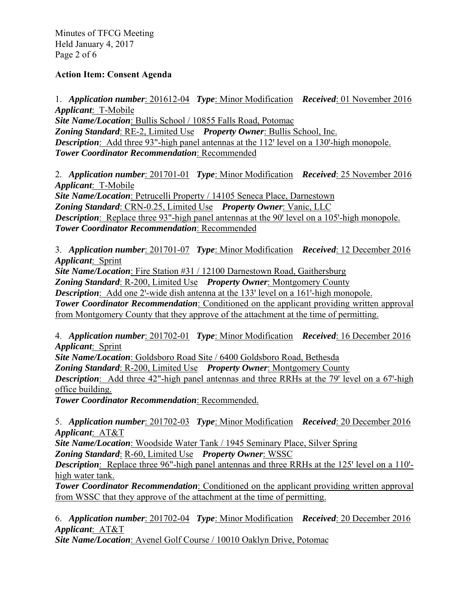Minutes of TFCG Meeting Held January 4, 2017 Page 2 of 6

# **Action Item: Consent Agenda**

1. *Application number*: 201612-04 *Type*: Minor Modification *Received*: 01 November 2016 *Applicant*: T-Mobile *Site Name/Location*: Bullis School / 10855 Falls Road, Potomac *Zoning Standard*: RE-2, Limited Use *Property Owner*: Bullis School, Inc. *Description*: Add three 93"-high panel antennas at the 112' level on a 130'-high monopole. *Tower Coordinator Recommendation*: Recommended

2. *Application number*: 201701-01 *Type*: Minor Modification *Received*: 25 November 2016 *Applicant*: T-Mobile

*Site Name/Location*: Petrucelli Property / 14105 Seneca Place, Darnestown *Zoning Standard*: CRN-0.25, Limited Use *Property Owner*: Vanic, LLC *Description*: Replace three 93"-high panel antennas at the 90' level on a 105'-high monopole. *Tower Coordinator Recommendation*: Recommended

3. *Application number*: 201701-07 *Type*: Minor Modification *Received*: 12 December 2016 *Applicant*: Sprint

*Site Name/Location*: Fire Station #31 / 12100 Darnestown Road, Gaithersburg

*Zoning Standard*: R-200, Limited Use *Property Owner*: Montgomery County

*Description*: Add one 2'-wide dish antenna at the 133' level on a 161'-high monopole.

**Tower Coordinator Recommendation**: Conditioned on the applicant providing written approval from Montgomery County that they approve of the attachment at the time of permitting.

4. *Application number*: 201702-01 *Type*: Minor Modification *Received*: 16 December 2016 *Applicant*: Sprint

*Site Name/Location*: Goldsboro Road Site / 6400 Goldsboro Road, Bethesda

*Zoning Standard*: R-200, Limited Use *Property Owner*: Montgomery County

**Description**: Add three 42"-high panel antennas and three RRHs at the 79' level on a 67'-high office building.

*Tower Coordinator Recommendation*: Recommended.

5. *Application number*: 201702-03 *Type*: Minor Modification *Received*: 20 December 2016 *Applicant*: AT&T

*Site Name/Location*: Woodside Water Tank / 1945 Seminary Place, Silver Spring

*Zoning Standard*: R-60, Limited Use *Property Owner*: WSSC

*Description*: Replace three 96"-high panel antennas and three RRHs at the 125' level on a 110'high water tank.

**Tower Coordinator Recommendation**: Conditioned on the applicant providing written approval from WSSC that they approve of the attachment at the time of permitting.

6. *Application number*: 201702-04 *Type*: Minor Modification *Received*: 20 December 2016 *Applicant*: AT&T

*Site Name/Location*: Avenel Golf Course / 10010 Oaklyn Drive, Potomac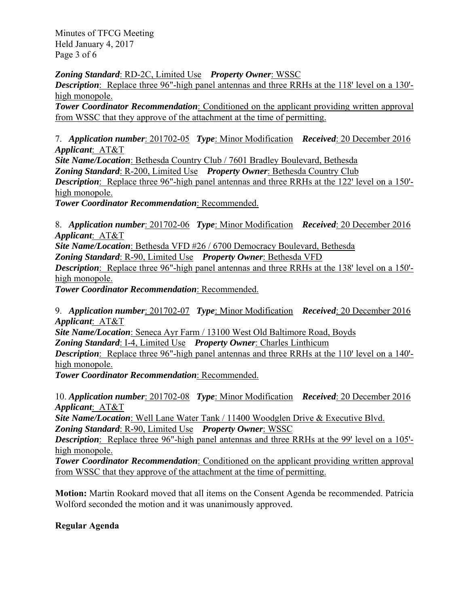Minutes of TFCG Meeting Held January 4, 2017 Page 3 of 6

*Zoning Standard*: RD-2C, Limited Use *Property Owner*: WSSC

*Description*: Replace three 96"-high panel antennas and three RRHs at the 118' level on a 130'high monopole.

**Tower Coordinator Recommendation**: Conditioned on the applicant providing written approval from WSSC that they approve of the attachment at the time of permitting.

7. *Application number*: 201702-05 *Type*: Minor Modification *Received*: 20 December 2016 *Applicant*: AT&T

*Site Name/Location*: Bethesda Country Club / 7601 Bradley Boulevard, Bethesda *Zoning Standard*: R-200, Limited Use *Property Owner*: Bethesda Country Club **Description**: Replace three 96"-high panel antennas and three RRHs at the 122' level on a 150'high monopole.

*Tower Coordinator Recommendation*: Recommended.

8. *Application number*: 201702-06 *Type*: Minor Modification *Received*: 20 December 2016 *Applicant*: AT&T

*Site Name/Location*: Bethesda VFD #26 / 6700 Democracy Boulevard, Bethesda

*Zoning Standard*: R-90, Limited Use *Property Owner*: Bethesda VFD

**Description**: Replace three 96"-high panel antennas and three RRHs at the 138' level on a 150'high monopole.

*Tower Coordinator Recommendation*: Recommended.

9. *Application number*: 201702-07 *Type*: Minor Modification *Received*: 20 December 2016 *Applicant*: AT&T

*Site Name/Location*: Seneca Ayr Farm / 13100 West Old Baltimore Road, Boyds

*Zoning Standard*: I-4, Limited Use *Property Owner*: Charles Linthicum

*Description*: Replace three 96"-high panel antennas and three RRHs at the 110' level on a 140'high monopole.

*Tower Coordinator Recommendation*: Recommended.

10. *Application number*: 201702-08 *Type*: Minor Modification *Received*: 20 December 2016 *Applicant*: AT&T

*Site Name/Location*: Well Lane Water Tank / 11400 Woodglen Drive & Executive Blvd. *Zoning Standard*: R-90, Limited Use *Property Owner*: WSSC

*Description*: Replace three 96"-high panel antennas and three RRHs at the 99' level on a 105'high monopole.

**Tower Coordinator Recommendation**: Conditioned on the applicant providing written approval from WSSC that they approve of the attachment at the time of permitting.

**Motion:** Martin Rookard moved that all items on the Consent Agenda be recommended. Patricia Wolford seconded the motion and it was unanimously approved.

# **Regular Agenda**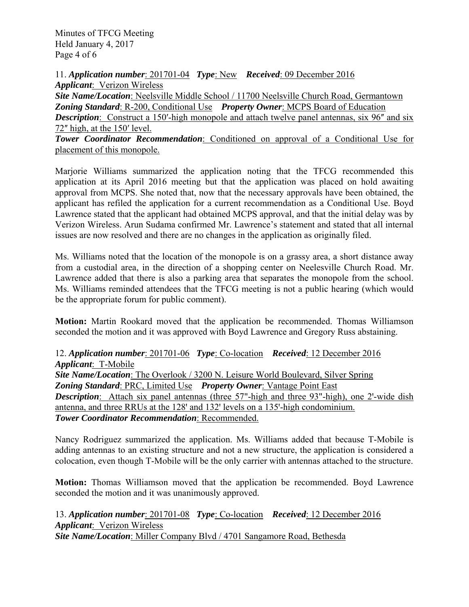Minutes of TFCG Meeting Held January 4, 2017 Page 4 of 6

11. *Application number*: 201701-04 *Type*: New *Received*: 09 December 2016 *Applicant*: Verizon Wireless *Site Name/Location*: Neelsville Middle School / 11700 Neelsville Church Road, Germantown *Zoning Standard*: R-200, Conditional Use *Property Owner*: MCPS Board of Education **Description**: Construct a 150'-high monopole and attach twelve panel antennas, six 96" and six 72" high, at the 150' level. *Tower Coordinator Recommendation*: Conditioned on approval of a Conditional Use for

placement of this monopole.

Marjorie Williams summarized the application noting that the TFCG recommended this application at its April 2016 meeting but that the application was placed on hold awaiting approval from MCPS. She noted that, now that the necessary approvals have been obtained, the applicant has refiled the application for a current recommendation as a Conditional Use. Boyd Lawrence stated that the applicant had obtained MCPS approval, and that the initial delay was by Verizon Wireless. Arun Sudama confirmed Mr. Lawrence's statement and stated that all internal issues are now resolved and there are no changes in the application as originally filed.

Ms. Williams noted that the location of the monopole is on a grassy area, a short distance away from a custodial area, in the direction of a shopping center on Neelesville Church Road. Mr. Lawrence added that there is also a parking area that separates the monopole from the school. Ms. Williams reminded attendees that the TFCG meeting is not a public hearing (which would be the appropriate forum for public comment).

**Motion:** Martin Rookard moved that the application be recommended. Thomas Williamson seconded the motion and it was approved with Boyd Lawrence and Gregory Russ abstaining.

12. *Application number*: 201701-06 *Type*: Co-location *Received*: 12 December 2016 *Applicant*: T-Mobile *Site Name/Location*: The Overlook / 3200 N. Leisure World Boulevard, Silver Spring *Zoning Standard*: PRC, Limited Use *Property Owner*: Vantage Point East **Description**: Attach six panel antennas (three 57"-high and three 93"-high), one 2'-wide dish antenna, and three RRUs at the 128' and 132' levels on a 135'-high condominium. *Tower Coordinator Recommendation*: Recommended.

Nancy Rodriguez summarized the application. Ms. Williams added that because T-Mobile is adding antennas to an existing structure and not a new structure, the application is considered a colocation, even though T-Mobile will be the only carrier with antennas attached to the structure.

**Motion:** Thomas Williamson moved that the application be recommended. Boyd Lawrence seconded the motion and it was unanimously approved.

13. *Application number*: 201701-08 *Type*: Co-location *Received*: 12 December 2016 *Applicant*: Verizon Wireless *Site Name/Location*: Miller Company Blvd / 4701 Sangamore Road, Bethesda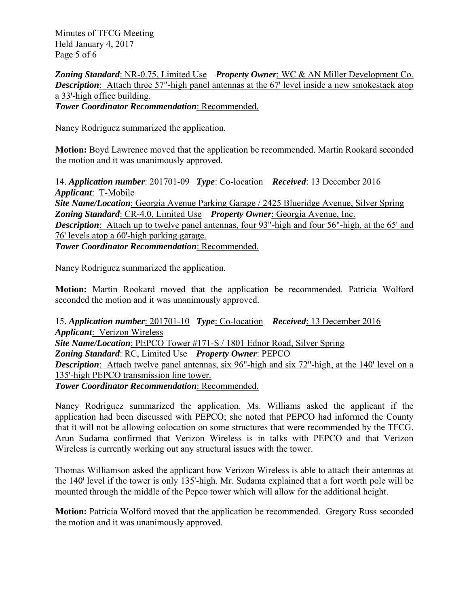Minutes of TFCG Meeting Held January 4, 2017 Page 5 of 6

*Zoning Standard*: NR-0.75, Limited Use *Property Owner*: WC & AN Miller Development Co. *Description*: Attach three 57"-high panel antennas at the 67' level inside a new smokestack atop a 33'-high office building.

*Tower Coordinator Recommendation*: Recommended.

Nancy Rodriguez summarized the application.

**Motion:** Boyd Lawrence moved that the application be recommended. Martin Rookard seconded the motion and it was unanimously approved.

14. *Application number*: 201701-09 *Type*: Co-location *Received*: 13 December 2016 *Applicant*: T-Mobile *Site Name/Location*: Georgia Avenue Parking Garage / 2425 Blueridge Avenue, Silver Spring *Zoning Standard*: CR-4.0, Limited Use *Property Owner*: Georgia Avenue, Inc. *Description*: Attach up to twelve panel antennas, four 93"-high and four 56"-high, at the 65' and 76' levels atop a 60'-high parking garage.

*Tower Coordinator Recommendation*: Recommended.

Nancy Rodriguez summarized the application.

**Motion:** Martin Rookard moved that the application be recommended. Patricia Wolford seconded the motion and it was unanimously approved.

15. *Application number*: 201701-10 *Type*: Co-location *Received*: 13 December 2016 *Applicant*: Verizon Wireless *Site Name/Location*: PEPCO Tower #171-S / 1801 Ednor Road, Silver Spring *Zoning Standard*: RC, Limited Use *Property Owner*: PEPCO **Description**: Attach twelve panel antennas, six 96"-high and six 72"-high, at the 140' level on a 135'-high PEPCO transmission line tower. *Tower Coordinator Recommendation*: Recommended.

Nancy Rodriguez summarized the application. Ms. Williams asked the applicant if the application had been discussed with PEPCO; she noted that PEPCO had informed the County that it will not be allowing colocation on some structures that were recommended by the TFCG. Arun Sudama confirmed that Verizon Wireless is in talks with PEPCO and that Verizon Wireless is currently working out any structural issues with the tower.

Thomas Williamson asked the applicant how Verizon Wireless is able to attach their antennas at the 140' level if the tower is only 135'-high. Mr. Sudama explained that a fort worth pole will be mounted through the middle of the Pepco tower which will allow for the additional height.

**Motion:** Patricia Wolford moved that the application be recommended. Gregory Russ seconded the motion and it was unanimously approved.